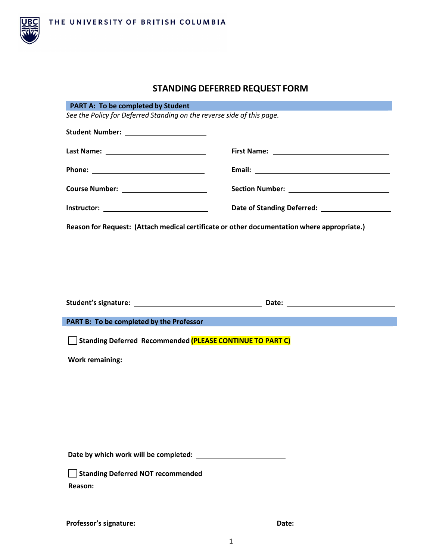

## **STANDING DEFERRED REQUEST FORM**

| <b>PART A: To be completed by Student</b><br>See the Policy for Deferred Standing on the reverse side of this page. |  |  |  |
|---------------------------------------------------------------------------------------------------------------------|--|--|--|
|                                                                                                                     |  |  |  |
| Student Number: _______________________                                                                             |  |  |  |
|                                                                                                                     |  |  |  |
|                                                                                                                     |  |  |  |
|                                                                                                                     |  |  |  |
|                                                                                                                     |  |  |  |
| Reason for Request: (Attach medical certificate or other documentation where appropriate.)                          |  |  |  |
|                                                                                                                     |  |  |  |
|                                                                                                                     |  |  |  |
|                                                                                                                     |  |  |  |
|                                                                                                                     |  |  |  |
|                                                                                                                     |  |  |  |
|                                                                                                                     |  |  |  |
| PART B: To be completed by the Professor                                                                            |  |  |  |
| Standing Deferred Recommended (PLEASE CONTINUE TO PART C)                                                           |  |  |  |
|                                                                                                                     |  |  |  |
|                                                                                                                     |  |  |  |
| <b>Work remaining:</b>                                                                                              |  |  |  |
|                                                                                                                     |  |  |  |
|                                                                                                                     |  |  |  |
|                                                                                                                     |  |  |  |
|                                                                                                                     |  |  |  |
|                                                                                                                     |  |  |  |
|                                                                                                                     |  |  |  |
| <b>Standing Deferred NOT recommended</b>                                                                            |  |  |  |
| Reason:                                                                                                             |  |  |  |
|                                                                                                                     |  |  |  |
|                                                                                                                     |  |  |  |